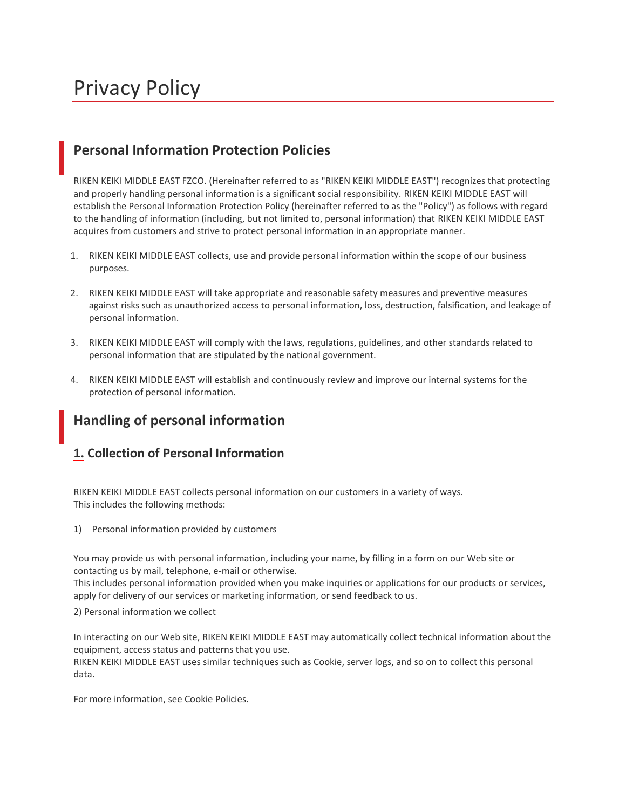# Privacy Policy

## **Personal Information Protection Policies**

RIKEN KEIKI MIDDLE EAST FZCO. (Hereinafter referred to as "RIKEN KEIKI MIDDLE EAST") recognizes that protecting and properly handling personal information is a significant social responsibility. RIKEN KEIKI MIDDLE EAST will establish the Personal Information Protection Policy (hereinafter referred to as the "Policy") as follows with regard to the handling of information (including, but not limited to, personal information) that RIKEN KEIKI MIDDLE EAST acquires from customers and strive to protect personal information in an appropriate manner.

- 1. RIKEN KEIKI MIDDLE EAST collects, use and provide personal information within the scope of our business purposes.
- 2. RIKEN KEIKI MIDDLE EAST will take appropriate and reasonable safety measures and preventive measures against risks such as unauthorized access to personal information, loss, destruction, falsification, and leakage of personal information.
- 3. RIKEN KEIKI MIDDLE EAST will comply with the laws, regulations, guidelines, and other standards related to personal information that are stipulated by the national government.
- 4. RIKEN KEIKI MIDDLE EAST will establish and continuously review and improve our internal systems for the protection of personal information.

## **Handling of personal information**

#### **1. Collection of Personal Information**

RIKEN KEIKI MIDDLE EAST collects personal information on our customers in a variety of ways. This includes the following methods:

1) Personal information provided by customers

You may provide us with personal information, including your name, by filling in a form on our Web site or contacting us by mail, telephone, e-mail or otherwise.

This includes personal information provided when you make inquiries or applications for our products or services, apply for delivery of our services or marketing information, or send feedback to us.

2) Personal information we collect

In interacting on our Web site, RIKEN KEIKI MIDDLE EAST may automatically collect technical information about the equipment, access status and patterns that you use.

RIKEN KEIKI MIDDLE EAST uses similar techniques such as Cookie, server logs, and so on to collect this personal data.

For more information, see Cookie Policies.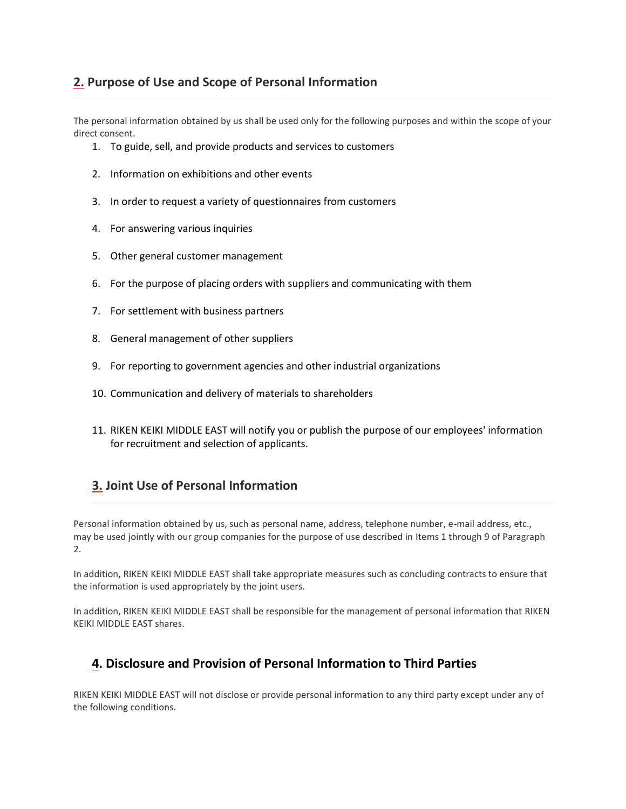#### **2. Purpose of Use and Scope of Personal Information**

The personal information obtained by us shall be used only for the following purposes and within the scope of your direct consent.

- 1. To guide, sell, and provide products and services to customers
- 2. Information on exhibitions and other events
- 3. In order to request a variety of questionnaires from customers
- 4. For answering various inquiries
- 5. Other general customer management
- 6. For the purpose of placing orders with suppliers and communicating with them
- 7. For settlement with business partners
- 8. General management of other suppliers
- 9. For reporting to government agencies and other industrial organizations
- 10. Communication and delivery of materials to shareholders
- 11. RIKEN KEIKI MIDDLE EAST will notify you or publish the purpose of our employees' information for recruitment and selection of applicants.

### **3. Joint Use of Personal Information**

Personal information obtained by us, such as personal name, address, telephone number, e-mail address, etc., may be used jointly with our group companies for the purpose of use described in Items 1 through 9 of Paragraph 2.

In addition, RIKEN KEIKI MIDDLE EAST shall take appropriate measures such as concluding contracts to ensure that the information is used appropriately by the joint users.

In addition, RIKEN KEIKI MIDDLE EAST shall be responsible for the management of personal information that RIKEN KEIKI MIDDLE EAST shares.

#### **4. Disclosure and Provision of Personal Information to Third Parties**

RIKEN KEIKI MIDDLE EAST will not disclose or provide personal information to any third party except under any of the following conditions.